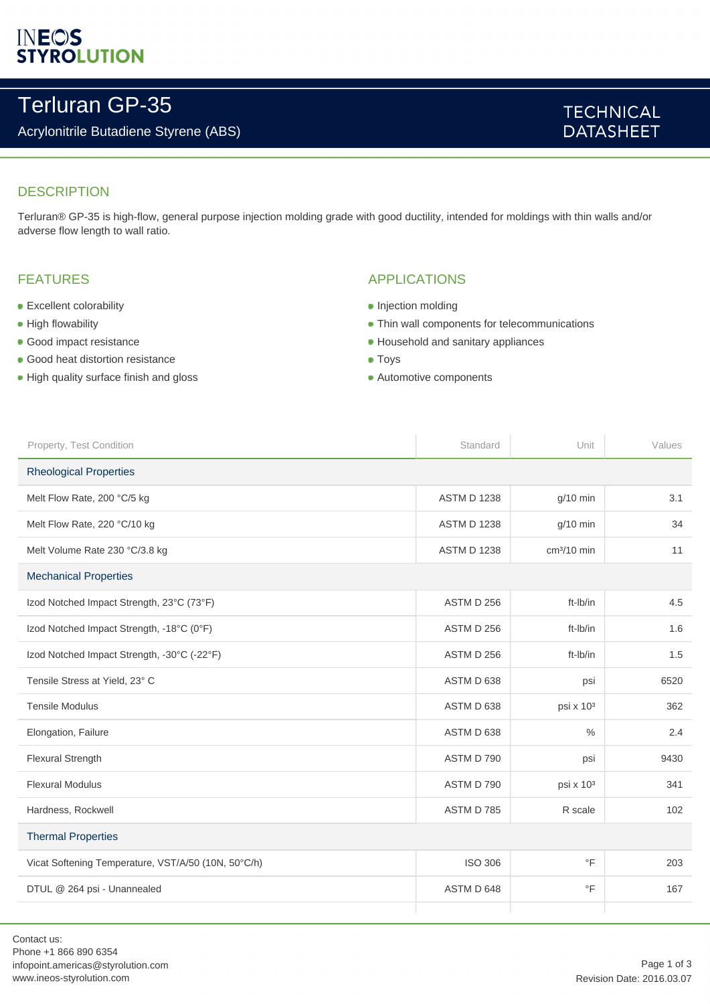# **INEOS**<br>STYROLUTION

## Terluran GP-35

### Acrylonitrile Butadiene Styrene (ABS)

## **TECHNICAL DATASHEET**

## **DESCRIPTION**

Terluran® GP-35 is high-flow, general purpose injection molding grade with good ductility, intended for moldings with thin walls and/or adverse flow length to wall ratio.

### FEATURES

- **Excellent colorability**
- **High flowability**
- **Good impact resistance**
- **Good heat distortion resistance**
- High quality surface finish and gloss

### APPLICATIONS

- Injection molding
- Thin wall components for telecommunications
- **Household and sanitary appliances**
- **Toys**
- Automotive components

| Property, Test Condition                            | Standard           | Unit                  | Values |  |
|-----------------------------------------------------|--------------------|-----------------------|--------|--|
| <b>Rheological Properties</b>                       |                    |                       |        |  |
| Melt Flow Rate, 200 °C/5 kg                         | <b>ASTM D 1238</b> | $g/10$ min            | 3.1    |  |
| Melt Flow Rate, 220 °C/10 kg                        | <b>ASTM D 1238</b> | $g/10$ min            | 34     |  |
| Melt Volume Rate 230 °C/3.8 kg                      | <b>ASTM D 1238</b> | $cm3/10$ min          | 11     |  |
| <b>Mechanical Properties</b>                        |                    |                       |        |  |
| Izod Notched Impact Strength, 23°C (73°F)           | <b>ASTM D 256</b>  | ft-Ib/in              | 4.5    |  |
| Izod Notched Impact Strength, -18°C (0°F)           | ASTM D 256         | ft-Ib/in              | 1.6    |  |
| Izod Notched Impact Strength, -30°C (-22°F)         | ASTM D 256         | ft-Ib/in              | 1.5    |  |
| Tensile Stress at Yield, 23° C                      | ASTM D 638         | psi                   | 6520   |  |
| <b>Tensile Modulus</b>                              | ASTM D 638         | psi x 10 <sup>3</sup> | 362    |  |
| Elongation, Failure                                 | ASTM D 638         | $\frac{0}{0}$         | 2.4    |  |
| Flexural Strength                                   | ASTM D 790         | psi                   | 9430   |  |
| <b>Flexural Modulus</b>                             | ASTM D 790         | psi x 10 <sup>3</sup> | 341    |  |
| Hardness, Rockwell                                  | ASTM D 785         | R scale               | 102    |  |
| <b>Thermal Properties</b>                           |                    |                       |        |  |
| Vicat Softening Temperature, VST/A/50 (10N, 50°C/h) | <b>ISO 306</b>     | $\circ$ F             | 203    |  |
| DTUL @ 264 psi - Unannealed                         | ASTM D 648         | $\circ$ F             | 167    |  |
|                                                     |                    |                       |        |  |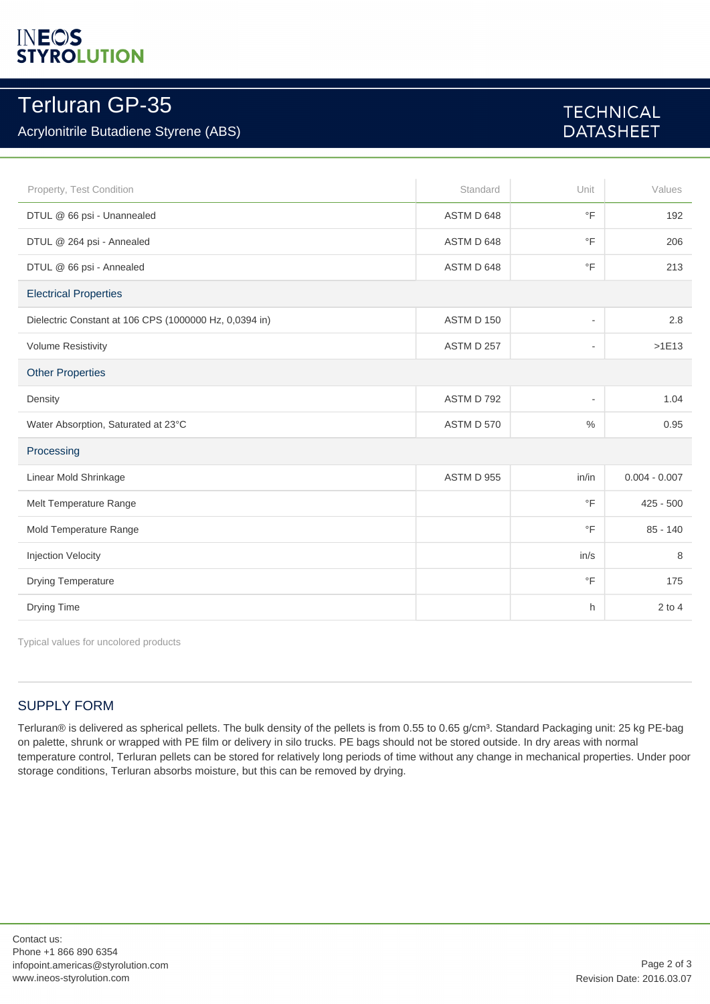# **INEOS**<br>STYROLUTION

## Terluran GP-35

## Acrylonitrile Butadiene Styrene (ABS)

## **TECHNICAL DATASHEET**

| Property, Test Condition                               | Standard   | Unit                     | Values          |  |
|--------------------------------------------------------|------------|--------------------------|-----------------|--|
| DTUL @ 66 psi - Unannealed                             | ASTM D 648 | $\circ$ F                | 192             |  |
| DTUL @ 264 psi - Annealed                              | ASTM D 648 | $\circ$ F                | 206             |  |
| DTUL @ 66 psi - Annealed                               | ASTM D 648 | $\circ$ F                | 213             |  |
| <b>Electrical Properties</b>                           |            |                          |                 |  |
| Dielectric Constant at 106 CPS (1000000 Hz, 0,0394 in) | ASTM D 150 | $\overline{\phantom{a}}$ | 2.8             |  |
| <b>Volume Resistivity</b>                              | ASTM D 257 | $\overline{\phantom{a}}$ | $>1E13$         |  |
| <b>Other Properties</b>                                |            |                          |                 |  |
| Density                                                | ASTM D 792 | $\blacksquare$           | 1.04            |  |
| Water Absorption, Saturated at 23°C                    | ASTM D 570 | $\%$                     | 0.95            |  |
| Processing                                             |            |                          |                 |  |
| Linear Mold Shrinkage                                  | ASTM D 955 | in/in                    | $0.004 - 0.007$ |  |
| Melt Temperature Range                                 |            | $\circ$ F                | $425 - 500$     |  |
| Mold Temperature Range                                 |            | $\circ$ F                | $85 - 140$      |  |
| Injection Velocity                                     |            | in/s                     | 8               |  |
| <b>Drying Temperature</b>                              |            | $\circ$ F                | 175             |  |
| Drying Time                                            |            | h.                       | $2$ to 4        |  |

Typical values for uncolored products

## SUPPLY FORM

Terluran® is delivered as spherical pellets. The bulk density of the pellets is from 0.55 to 0.65 g/cm<sup>3</sup>. Standard Packaging unit: 25 kg PE-bag on palette, shrunk or wrapped with PE film or delivery in silo trucks. PE bags should not be stored outside. In dry areas with normal temperature control, Terluran pellets can be stored for relatively long periods of time without any change in mechanical properties. Under poor storage conditions, Terluran absorbs moisture, but this can be removed by drying.